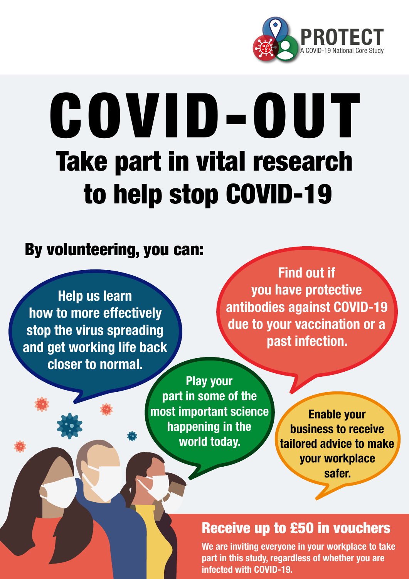

# COVID-OUT Take part in vital research to help stop COVID-19

### By volunteering, you can:

Help us learn how to more effectively stop the virus spreading and get working life back closer to normal.

Find out if you have protective antibodies against COVID-19 due to your vaccination or a past infection.

Play your part in some of the most important science happening in the world today.

Enable your business to receive tailored advice to make your workplace safer.

### Receive up to £50 in vouchers

We are inviting everyone in your workplace to take part in this study, regardless of whether you are infected with COVID-19.